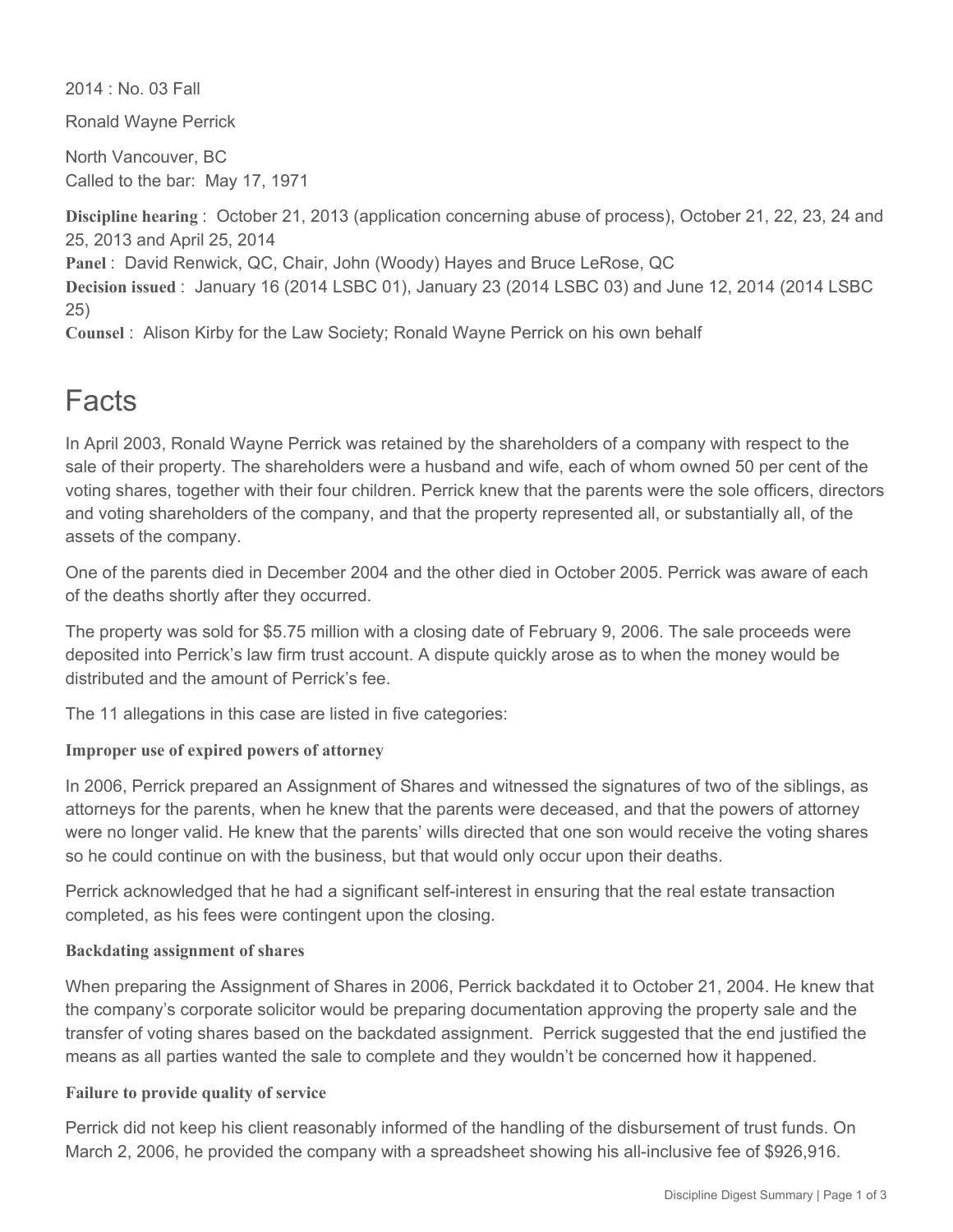2014 : No. 03 Fall

Ronald Wayne Perrick

North Vancouver, BC Called to the bar: May 17, 1971

**Discipline hearing** : October 21, 2013 (application concerning abuse of process), October 21, 22, 23, 24 and 25, 2013 and April 25, 2014 **Panel** : David Renwick, QC, Chair, John (Woody) Hayes and Bruce LeRose, QC **Decision issued** : January 16 (2014 LSBC 01), January 23 (2014 LSBC 03) and June 12, 2014 (2014 LSBC 25)

**Counsel** : Alison Kirby for the Law Society; Ronald Wayne Perrick on his own behalf

# Facts

In April 2003, Ronald Wayne Perrick was retained by the shareholders of a company with respect to the sale of their property. The shareholders were a husband and wife, each of whom owned 50 per cent of the voting shares, together with their four children. Perrick knew that the parents were the sole officers, directors and voting shareholders of the company, and that the property represented all, or substantially all, of the assets of the company.

One of the parents died in December 2004 and the other died in October 2005. Perrick was aware of each of the deaths shortly after they occurred.

The property was sold for \$5.75 million with a closing date of February 9, 2006. The sale proceeds were deposited into Perrick's law firm trust account. A dispute quickly arose as to when the money would be distributed and the amount of Perrick's fee.

The 11 allegations in this case are listed in five categories:

## **Improper use of expired powers of attorney**

In 2006, Perrick prepared an Assignment of Shares and witnessed the signatures of two of the siblings, as attorneys for the parents, when he knew that the parents were deceased, and that the powers of attorney were no longer valid. He knew that the parents' wills directed that one son would receive the voting shares so he could continue on with the business, but that would only occur upon their deaths.

Perrick acknowledged that he had a significant self-interest in ensuring that the real estate transaction completed, as his fees were contingent upon the closing.

## **Backdating assignment of shares**

When preparing the Assignment of Shares in 2006, Perrick backdated it to October 21, 2004. He knew that the company's corporate solicitor would be preparing documentation approving the property sale and the transfer of voting shares based on the backdated assignment. Perrick suggested that the end justified the means as all parties wanted the sale to complete and they wouldn't be concerned how it happened.

## **Failure to provide quality of service**

Perrick did not keep his client reasonably informed of the handling of the disbursement of trust funds. On March 2, 2006, he provided the company with a spreadsheet showing his all-inclusive fee of \$926,916.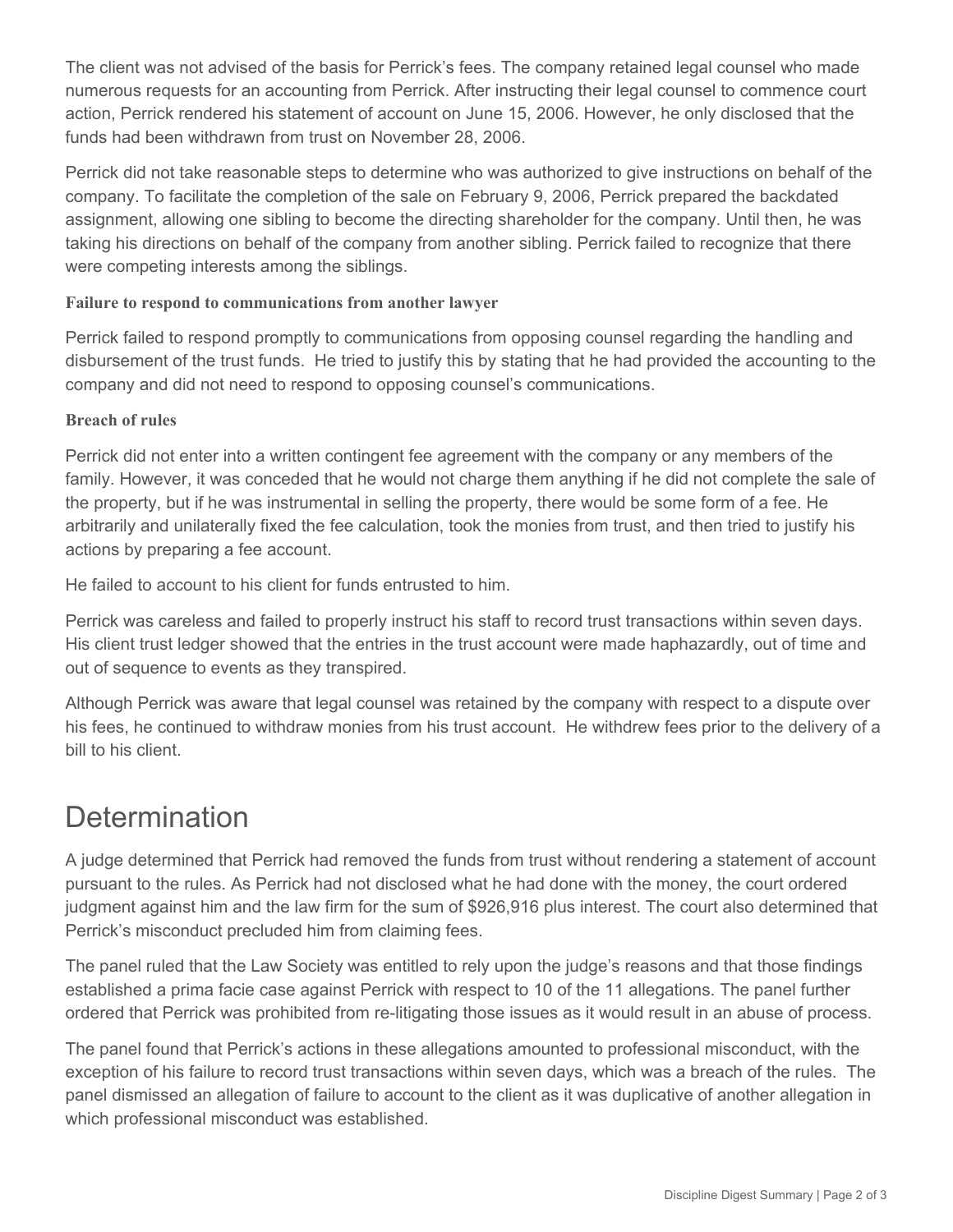The client was not advised of the basis for Perrick's fees. The company retained legal counsel who made numerous requests for an accounting from Perrick. After instructing their legal counsel to commence court action, Perrick rendered his statement of account on June 15, 2006. However, he only disclosed that the funds had been withdrawn from trust on November 28, 2006.

Perrick did not take reasonable steps to determine who was authorized to give instructions on behalf of the company. To facilitate the completion of the sale on February 9, 2006, Perrick prepared the backdated assignment, allowing one sibling to become the directing shareholder for the company. Until then, he was taking his directions on behalf of the company from another sibling. Perrick failed to recognize that there were competing interests among the siblings.

#### **Failure to respond to communications from another lawyer**

Perrick failed to respond promptly to communications from opposing counsel regarding the handling and disbursement of the trust funds. He tried to justify this by stating that he had provided the accounting to the company and did not need to respond to opposing counsel's communications.

#### **Breach of rules**

Perrick did not enter into a written contingent fee agreement with the company or any members of the family. However, it was conceded that he would not charge them anything if he did not complete the sale of the property, but if he was instrumental in selling the property, there would be some form of a fee. He arbitrarily and unilaterally fixed the fee calculation, took the monies from trust, and then tried to justify his actions by preparing a fee account.

He failed to account to his client for funds entrusted to him.

Perrick was careless and failed to properly instruct his staff to record trust transactions within seven days. His client trust ledger showed that the entries in the trust account were made haphazardly, out of time and out of sequence to events as they transpired.

Although Perrick was aware that legal counsel was retained by the company with respect to a dispute over his fees, he continued to withdraw monies from his trust account. He withdrew fees prior to the delivery of a bill to his client.

# **Determination**

A judge determined that Perrick had removed the funds from trust without rendering a statement of account pursuant to the rules. As Perrick had not disclosed what he had done with the money, the court ordered judgment against him and the law firm for the sum of \$926,916 plus interest. The court also determined that Perrick's misconduct precluded him from claiming fees.

The panel ruled that the Law Society was entitled to rely upon the judge's reasons and that those findings established a prima facie case against Perrick with respect to 10 of the 11 allegations. The panel further ordered that Perrick was prohibited from re-litigating those issues as it would result in an abuse of process.

The panel found that Perrick's actions in these allegations amounted to professional misconduct, with the exception of his failure to record trust transactions within seven days, which was a breach of the rules. The panel dismissed an allegation of failure to account to the client as it was duplicative of another allegation in which professional misconduct was established.